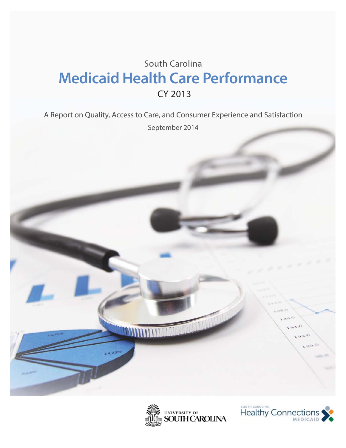# South Carolina **Medicaid Health Care Performance** CY 2013

A Report on Quality, Access to Care, and Consumer Experience and Satisfaction September 2014





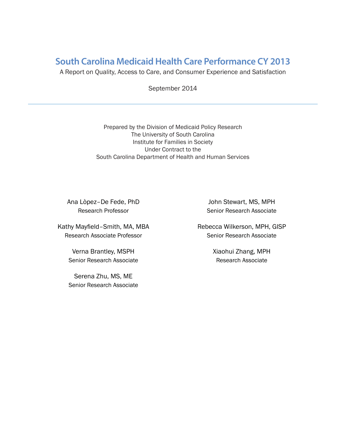### **South Carolina Medicaid Health Care Performance CY 2013**

A Report on Quality, Access to Care, and Consumer Experience and Satisfaction

September 2014

Prepared by the Division of Medicaid Policy Research The University of South Carolina Institute for Families in Society Under Contract to the South Carolina Department of Health and Human Services

Ana Lòpez–De Fede, PhD Research Professor

Kathy Mayfield-Smith, MA, MBA Research Associate Professor

> Verna Brantley, MSPH Senior Research Associate

> Serena Zhu, MS, ME Senior Research Associate

John Stewart, MS, MPH Senior Research Associate

Rebecca Wilkerson, MPH, GISP Senior Research Associate

> Xiaohui Zhang, MPH Research Associate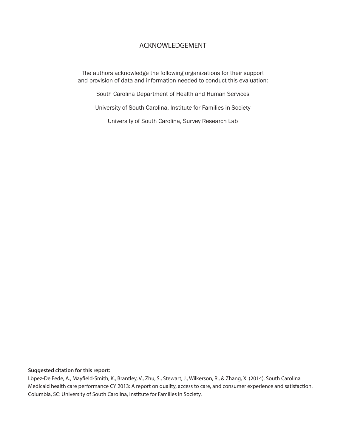#### ACKNOWLEDGEMENT

The authors acknowledge the following organizations for their support and provision of data and information needed to conduct this evaluation:

South Carolina Department of Health and Human Services

University of South Carolina, Institute for Families in Society

University of South Carolina, Survey Research Lab

#### **Suggested citation for this report:**

Lòpez-De Fede, A., Mayfield-Smith, K., Brantley, V., Zhu, S., Stewart, J., Wilkerson, R., & Zhang, X. (2014). South Carolina Medicaid health care performance CY 2013: A report on quality, access to care, and consumer experience and satisfaction. Columbia, SC: University of South Carolina, Institute for Families in Society.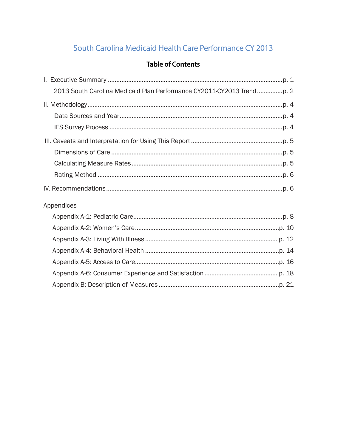# South Carolina Medicaid Health Care Performance CY 2013

#### **Table of Contents**

| Appendices |  |
|------------|--|
|            |  |
|            |  |
|            |  |
|            |  |
|            |  |
|            |  |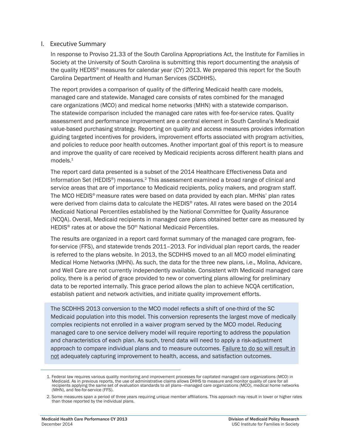#### I. Executive Summary

In response to Proviso 21.33 of the South Carolina Appropriations Act, the Institute for Families in Society at the University of South Carolina is submitting this report documenting the analysis of the quality HEDIS® measures for calendar year (CY) 2013. We prepared this report for the South Carolina Department of Health and Human Services (SCDHHS).

The report provides a comparison of quality of the differing Medicaid health care models, managed care and statewide. Managed care consists of rates combined for the managed care organizations (MCO) and medical home networks (MHN) with a statewide comparison. The statewide comparison included the managed care rates with fee-for-service rates. Quality assessment and performance improvement are a central element in South Carolina's Medicaid value-based purchasing strategy. Reporting on quality and access measures provides information guiding targeted incentives for providers, improvement efforts associated with program activities, and policies to reduce poor health outcomes. Another important goal of this report is to measure and improve the quality of care received by Medicaid recipients across different health plans and  $models<sup>1</sup>$ 

The report card data presented is a subset of the 2014 Healthcare Effectiveness Data and Information Set (HEDIS<sup>®</sup>) measures.<sup>2</sup> This assessment examined a broad range of clinical and service areas that are of importance to Medicaid recipients, policy makers, and program staff. The MCO HEDIS® measure rates were based on data provided by each plan. MHNs' plan rates were derived from claims data to calculate the HEDIS<sup>®</sup> rates. All rates were based on the 2014 Medicaid National Percentiles established by the National Committee for Quality Assurance (NCQA). Overall, Medicaid recipients in managed care plans obtained better care as measured by HEDIS<sup>®</sup> rates at or above the 50<sup>th</sup> National Medicaid Percentiles.

The results are organized in a report card format summary of the managed care program, feefor-service (FFS), and statewide trends 2011–2013. For individual plan report cards, the reader is referred to the plans website. In 2013, the SCDHHS moved to an all MCO model eliminating Medical Home Networks (MHN). As such, the data for the three new plans, i.e., Molina, Advicare, and Well Care are not currently independently available. Consistent with Medicaid managed care policy, there is a period of grace provided to new or converting plans allowing for preliminary data to be reported internally. This grace period allows the plan to achieve NCQA certification, establish patient and network activities, and initiate quality improvement efforts.

The SCDHHS 2013 conversion to the MCO model reflects a shift of one-third of the SC Medicaid population into this model. This conversion represents the largest move of medically complex recipients not enrolled in a waiver program served by the MCO model. Reducing managed care to one service delivery model will require reporting to address the population and characteristics of each plan. As such, trend data will need to apply a risk-adjustment approach to compare individual plans and to measure outcomes. Failure to do so will result in not adequately capturing improvement to health, access, and satisfaction outcomes.

<sup>1.</sup> Federal law requires various quality monitoring and improvement processes for capitated managed care organizations (MCO) in Medicaid. As in previous reports, the use of administrative claims allows DHHS to measure and monitor quality of care for all recipients applying the same set of evaluation standards to all plans—managed care organizations (MCO), medical home networks (MHN), and fee-for-service (FFS).

<sup>2.</sup> Some measures span a period of three years requiring unique member affiliations. This approach may result in lower or higher rates than those reported by the individual plans.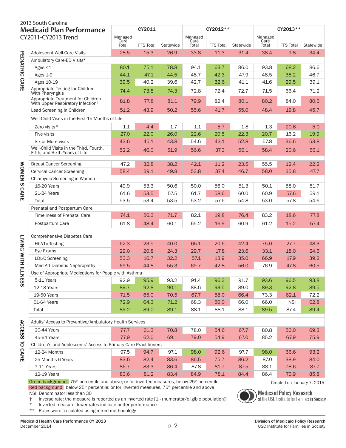|                                  | 2013 South Carolina                                                                 |                          |                  |           |                          |                  |           |                          |                  |           |  |
|----------------------------------|-------------------------------------------------------------------------------------|--------------------------|------------------|-----------|--------------------------|------------------|-----------|--------------------------|------------------|-----------|--|
| <b>Medicaid Plan Performance</b> |                                                                                     | CY2011                   |                  |           |                          | CY2012**         |           | CY2013**                 |                  |           |  |
|                                  | CY2011-CY2013 Trend                                                                 | Managed<br>Care<br>Total | <b>FFS Total</b> | Statewide | Managed<br>Care<br>Total | <b>FFS Total</b> | Statewide | Managed<br>Care<br>Total | <b>FFS Total</b> | Statewide |  |
|                                  | Adolescent Well-Care Visits                                                         | 28.5                     | 15.3             | 26.9      | 33.8                     | 11.3             | 31.4      | 38.4                     | 9.8              | 34.4      |  |
|                                  | Ambulatory Care-ED Visits*                                                          |                          |                  |           |                          |                  |           |                          |                  |           |  |
|                                  | Ages $<$ 1                                                                          | 80.1                     | 75.1             | 78.8      | 94.1                     | 63.7             | 86.0      | 93.8                     | 68.2             | 86.6      |  |
|                                  | Ages 1-9                                                                            | 44.1                     | 47.1             | 44.5      | 48.7                     | 42.3             | 47.9      | 48.5                     | 38.2             | 46.7      |  |
| PEDIATRIC CARE                   | Ages 10-19                                                                          | 39.5                     | 40.2             | 39.6      | 42.7                     | 32.6             | 41.1      | 41.6                     | 29.5             | 39.1      |  |
|                                  | Appropriate Testing for Children<br>With Pharyngitis                                | 74.4                     | 73.8             | 74.3      | 72.8                     | 72.4             | 72.7      | 71.5                     | 66.4             | 71.2      |  |
|                                  | Appropriate Treatment for Children<br>With Upper Respiratory Infection <sup>+</sup> | 81.8                     | 77.8             | 81.1      | 79.9                     | 82.4             | 80.1      | 80.2                     | 84.0             | 80.6      |  |
|                                  | Lead Screening in Children                                                          | 51.2                     | 43.9             | 50.2      | 55.6                     | 41.7             | 55.0      | 48.4                     | 19.8             | 45.7      |  |
|                                  | Well-Child Visits in the First 15 Months of Life                                    |                          |                  |           |                          |                  |           |                          |                  |           |  |
|                                  | Zero visits *                                                                       | 1.1                      | 4.4              | 1.7       | 1.1                      | 5.7              | 1.8       | 1.3                      | 20.6             | 5.0       |  |
|                                  | <b>Five visits</b>                                                                  | 27.0                     | 22.0             | 26.0      | 22.6                     | 20.5             | 22.3      | 20.7                     | 16.2             | 19.9      |  |
|                                  | Six or More visits                                                                  | 43.6                     | 45.1             | 43.8      | 54.6                     | 43.1             | 52.8      | 57.8                     | 36.6             | 53.8      |  |
|                                  | Well-Child Visits in the Third, Fourth,<br>Fifth, and Sixth Years of Life           | 52.2                     | 46.0             | 51.9      | 56.6                     | 37.3             | 56.1      | 58.4                     | 20.6             | 56.1      |  |
|                                  | <b>Breast Cancer Screening</b>                                                      | 47.2                     | 32.8             | 38.2      | 42.1                     | 11.2             | 23.5      | 55.5                     | 12.4             | 22.2      |  |
|                                  | <b>Cervical Cancer Screening</b>                                                    | 58.4                     | 39.1             | 49.8      | 53.8                     | 37.4             | 46.7      | 58.0                     | 35.8             | 47.7      |  |
| WOMEN'S CARE                     | Chlamydia Screening in Women                                                        |                          |                  |           |                          |                  |           |                          |                  |           |  |
|                                  | 16-20 Years                                                                         | 49.9                     | 53.3             | 50.6      | 50.0                     | 56.0             | 51.3      | 50.1                     | 58.0             | 51.7      |  |
|                                  | 21-24 Years                                                                         | 61.6                     | 53.5             | 57.5      | 61.7                     | 58.6             | 60.0      | 60.9                     | 57.6             | 59.1      |  |
|                                  | Total                                                                               | 53.5                     | 53.4             | 53.5      | 53.2                     | 57.6             | 54.8      | 53.0                     | 57.8             | 54.6      |  |
|                                  | Prenatal and Postpartum Care                                                        |                          |                  |           |                          |                  |           |                          |                  |           |  |
|                                  | <b>Timeliness of Prenatal Care</b>                                                  | 74.1                     | 56.3             | 71.7      | 82.1                     | 19.8             | 76.4      | 83.2                     | 18.6             | 77.8      |  |
|                                  | Postpartum Care                                                                     | 61.8                     | 48.4             | 60.1      | 65.2                     | 16.9             | 60.9      | 61.2                     | 15.2             | 57.4      |  |
|                                  | <b>Comprehensive Diabetes Care</b>                                                  |                          |                  |           |                          |                  |           |                          |                  |           |  |
|                                  | HbA1c Testing                                                                       | 62.3                     | 23.5             | 40.0      | 65.1                     | 20.6             | 42.4      | 75.0                     | 27.7             | 48.3      |  |
|                                  | Eye Exams                                                                           | 29.0                     | 20.8             | 24.3      | 29.7                     | 17.8             | 23.6      | 33.1                     | 18.0             | 24.6      |  |
|                                  | <b>LDL-C Screening</b>                                                              | 53.3                     | 16.7             | 32.2      | 57.1                     | 13.9             | 35.0      | 66.9                     | 17.9             | 39.2      |  |
|                                  | Med Att Diabetic Nephropathy                                                        | 69.5                     | 44.8             | 55.3      | 69.7                     | 42.8             | 56.0      | 76.9                     | 47.8             | 60.5      |  |
| <b>LIVING WITH ILL</b>           | Use of Appropriate Medications for People with Asthma                               |                          |                  |           |                          |                  |           |                          |                  |           |  |
| <b>NESS</b>                      | 5-11 Years                                                                          | 92.9                     | 95.9             | 93.2      | 91.4                     | 96.3             | 91.7      | 93.6                     | 96.5             | 93.8      |  |
|                                  | 12-18 Years                                                                         | 89.7                     | 92.8             | 90.1      | 88.6                     | 93.5             | 89.0      | 89.3                     | 92.8             | 89.5      |  |
|                                  | 19-50 Years                                                                         | 71.5                     | 65.0             | 70.5      | 67.7                     | 58.0             | 66.4      | 73.3                     | 62.1             | 72.2      |  |
|                                  | 51-64 Years                                                                         | 72.9                     | 64.3             | 71.2      | 68.3                     | 50.0             | 66.0      | 66.0                     | <b>NSI</b>       | 62.8      |  |
|                                  | Total                                                                               | 89.2                     | 89.0             | 89.1      | 88.1                     | 88.1             | 88.1      | 89.5                     | 87.4             | 89.4      |  |
|                                  |                                                                                     |                          |                  |           |                          |                  |           |                          |                  |           |  |
|                                  | Adults' Access to Preventive/Ambulatory Health Services                             |                          |                  |           |                          |                  |           |                          |                  |           |  |
| <b>ACCESS</b>                    | 20-44 Years                                                                         | 77.7                     | 61.3             | 70.8      | 78.0                     | 54.6             | 67.7      | 80.8                     | 56.0             | 69.3      |  |
|                                  | 45-64 Years                                                                         | 77.9                     | 62.0             | 69.1      | 79.0                     | 54.9             | 67.0      | 85.2                     | 67.9             | 75.9      |  |
| $\overline{a}$                   | Children's and Adolescents' Access to Primary Care Practitioners                    |                          |                  |           |                          |                  |           |                          |                  |           |  |
| <b>CARE</b>                      | 12-24 Months                                                                        | 97.5                     | 94.7             | 97.1      | 98.0                     | 92.6             | 97.7      | 98.0                     | 66.6             | 93.2      |  |
|                                  | 25 Months-6 Years                                                                   | 83.6                     | 82.4             | 83.6      | 86.5                     | 75.7             | 86.2      | 87.0                     | 38.9             | 84.0      |  |
|                                  | 7-11 Years                                                                          | 86.7                     | 83.3             | 86.4      | 87.8                     | 81.7             | 87.5      | 88.1                     | 78.6             | 87.7      |  |
|                                  | 12-19 Years                                                                         | 83.6                     | 81.2             | 83.4      | 84.9                     | 78.1             | 84.4      | 86.4                     | 76.9             | 85.8      |  |

Green background: 75<sup>th</sup> percentile and above; or for inverted measures, below 25<sup>th</sup> percentile **come above that the Created on January 7**, 2015 Red background: below 25<sup>th</sup> percentile; or for inverted measures, 75<sup>th</sup> percentile and above

NSI: Denominator less than 30

\* Inverted measure: lower rates indicate better performance

\*\* Rates were calculated using mixed methodology

**Medicaid Policy Research**<br>at the USC Institute for Families in Society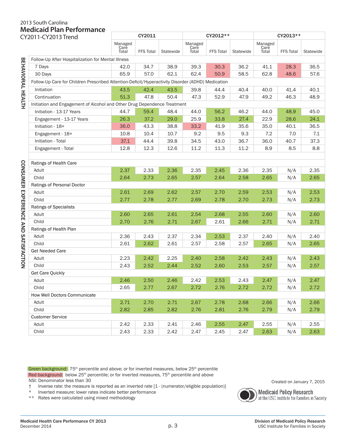## 2013 South Carolina **Medicaid Plan Performance**

| CY2011-CY2013 Trend                  |                                                                                                   | CY2011                   |                  |           |                          | CY2012**         |           | CY2013**                 |                  |           |  |  |  |
|--------------------------------------|---------------------------------------------------------------------------------------------------|--------------------------|------------------|-----------|--------------------------|------------------|-----------|--------------------------|------------------|-----------|--|--|--|
|                                      |                                                                                                   | Managed<br>Care<br>Total | <b>FFS Total</b> | Statewide | Managed<br>Care<br>Total | <b>FFS Total</b> | Statewide | Managed<br>Care<br>Total | <b>FFS Total</b> | Statewide |  |  |  |
|                                      | Follow-Up After Hospitalization for Mental Illness                                                |                          |                  |           |                          |                  |           |                          |                  |           |  |  |  |
|                                      | 7 Days                                                                                            | 42.0                     | 34.7             | 38.9      | 39.3                     | 30.3             | 36.2      | 41.1                     | 28.3             | 36.5      |  |  |  |
|                                      | 30 Days                                                                                           | 65.9                     | 57.0             | 62.1      | 62.4                     | 50.9             | 58.5      | 62.8                     | 48.6             | 57.6      |  |  |  |
| BEHAVIORAL HEALTH                    | Follow-Up Care for Children Prescribed Attention-Deficit/Hyperactivity Disorder (ADHD) Medication |                          |                  |           |                          |                  |           |                          |                  |           |  |  |  |
|                                      | Initiation                                                                                        | 43.5                     | 42.4             | 43.5      | 39.8                     | 44.4             | 40.4      | 40.0                     | 41.4             | 40.1      |  |  |  |
|                                      | Continuation                                                                                      | 51.3                     | 47.8             | 50.4      | 47.3                     | 52.9             | 47.9      | 49.2                     | 46.3             | 48.9      |  |  |  |
|                                      | Initiation and Engagement of Alcohol and Other Drug Dependence Treatment                          |                          |                  |           |                          |                  |           |                          |                  |           |  |  |  |
|                                      | Initiation - 13-17 Years                                                                          | 44.7                     | 59.4             | 48.4      | 44.0                     | 56.2             | 46.2      | 44.0                     | 48.9             | 45.0      |  |  |  |
|                                      | Engagement - 13-17 Years                                                                          | 26.3                     | 37.2             | 29.0      | 25.9                     | 33.8             | 27.4      | 22.9                     | 28.6             | 24.1      |  |  |  |
|                                      | Initiation - 18+                                                                                  | 36.0                     | 43.3             | 38.8      | 33.2                     | 41.9             | 35.6      | 35.0                     | 40.1             | 36.5      |  |  |  |
|                                      | Engagement - 18+                                                                                  | 10.8                     | 10.4             | 10.7      | 9.2                      | 9.5              | 9.3       | 7.2                      | 7.0              | $7.1$     |  |  |  |
|                                      | Initiation - Total                                                                                | 37.1                     | 44.4             | 39.8      | 34.5                     | 43.0             | 36.7      | 36.0                     | 40.7             | 37.3      |  |  |  |
|                                      | Engagement - Total                                                                                | 12.8                     | 12.3             | 12.6      | 11.2                     | 11.3             | 11.2      | 8.9                      | 8.5              | 8.8       |  |  |  |
|                                      |                                                                                                   |                          |                  |           |                          |                  |           |                          |                  |           |  |  |  |
|                                      | Ratings of Health Care                                                                            |                          |                  |           |                          |                  |           |                          |                  |           |  |  |  |
|                                      | Adult                                                                                             | 2.37                     | 2.33             | 2.36      | 2.35                     | 2.45             | 2.36      | 2.35                     | N/A              | 2.35      |  |  |  |
|                                      | Child                                                                                             | 2.64                     | 2.73             | 2.65      | 2.57                     | 2.64             | 2.58      | 2.65                     | N/A              | 2.65      |  |  |  |
|                                      | Ratings of Personal Doctor                                                                        |                          |                  |           |                          |                  |           |                          |                  |           |  |  |  |
|                                      | Adult                                                                                             | 2.61                     | 2.69             | 2.62      | 2.57                     | 2.70             | 2.59      | 2.53                     | N/A              | 2.53      |  |  |  |
|                                      | Child                                                                                             | 2.77                     | 2.78             | 2.77      | 2.69                     | 2.78             | 2.70      | 2.73                     | N/A              | 2.73      |  |  |  |
| CONSUMER EXPERIENCE AND SATISFACTION | Ratings of Specialists                                                                            |                          |                  |           |                          |                  |           |                          |                  |           |  |  |  |
|                                      | Adult                                                                                             | 2.60                     | 2.65             | 2.61      | 2.54                     | 2.68             | 2.55      | 2.60                     | N/A              | 2.60      |  |  |  |
|                                      | Child                                                                                             | 2.70                     | 2.76             | 2.71      | 2.67                     | 2.61             | 2.66      | 2.71                     | N/A              | 2.71      |  |  |  |
|                                      | Ratings of Health Plan                                                                            |                          |                  |           |                          |                  |           |                          |                  |           |  |  |  |
|                                      | Adult                                                                                             | 2.36                     | 2.43             | 2.37      | 2.34                     | 2.53             | 2.37      | 2.40                     | N/A              | 2.40      |  |  |  |
|                                      | Child                                                                                             | 2.61                     | 2.62             | 2.61      | 2.57                     | 2.58             | 2.57      | 2.65                     | N/A              | 2.65      |  |  |  |
|                                      | <b>Get Needed Care</b>                                                                            |                          |                  |           |                          |                  |           |                          |                  |           |  |  |  |
|                                      | Adult                                                                                             | 2.23                     | 2.42             | 2.25      | 2.40                     | 2.58             | 2.42      | 2.43                     | N/A              | 2.43      |  |  |  |
|                                      | Child                                                                                             | 2.43                     | 2.52             | 2.44      | 2.52                     | 2.60             | 2.53      | 2.57                     | N/A              | 2.57      |  |  |  |
|                                      | Get Care Quickly                                                                                  |                          |                  |           |                          |                  |           |                          |                  |           |  |  |  |
|                                      | Adult                                                                                             | 2.46                     | 2.50             | 2.46      | 2.42                     | 2.53             | 2.43      | 2.47                     | N/A              | 2.47      |  |  |  |
|                                      | Child                                                                                             | 2.65                     | 2.77             | 2.67      | 2.72                     | 2.76             | 2.72      | 2.72                     | N/A              | 2.72      |  |  |  |
|                                      | How Well Doctors Communicate                                                                      |                          |                  |           |                          |                  |           |                          |                  |           |  |  |  |
|                                      | Adult                                                                                             | 2.71                     | 2.70             | 2.71      | 2.67                     | 2.78             | 2.68      | 2.66                     | N/A              | 2.66      |  |  |  |
|                                      | Child                                                                                             | 2.82                     | 2.85             | 2.82      | 2.76                     | 2.81             | 2.76      | 2.79                     | N/A              | 2.79      |  |  |  |
|                                      | <b>Customer Service</b>                                                                           |                          |                  |           |                          |                  |           |                          |                  |           |  |  |  |
|                                      | Adult                                                                                             | 2.42                     | 2.33             | 2.41      | 2.46                     | 2.55             | 2.47      | 2.55                     | N/A              | 2.55      |  |  |  |
|                                      | Child                                                                                             | 2.43                     | 2.33             | 2.42      | 2.47                     | 2.45             | 2.47      | 2.63                     | N/A              | 2.63      |  |  |  |

Green background: 75<sup>th</sup> percentile and above; or for inverted measures, below 25<sup>th</sup> percentile Red background: below 25<sup>th</sup> percentile; or for inverted measures, 75<sup>th</sup> percentile and above NSI: Denominator less than 30

† Inverse rate: the measure is reported as an inverted rate [1 - (numerator/eligible population)]

\* Inverted measure: lower rates indicate better performance

\*\* Rates were calculated using mixed methodology



**Medicaid Policy Research** at the USC Institute for Families in Society

Created on January 7, 2015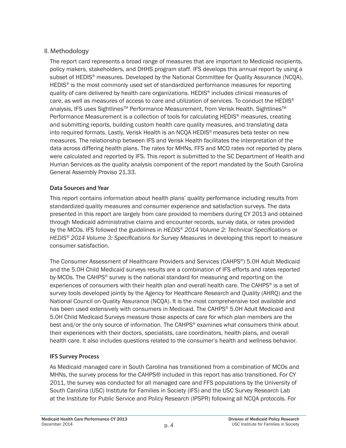#### II. Methodology

The report card represents a broad range of measures that are important to Medicaid recipients, policy makers, stakeholders, and DHHS program staff. IFS develops this annual report by using a subset of HEDIS® measures. Developed by the National Committee for Quality Assurance (NCQA), HEDIS<sup>®</sup> is the most commonly used set of standardized performance measures for reporting quality of care delivered by health care organizations. HEDIS® includes clinical measures of care, as well as measures of access to care and utilization of services. To conduct the HEDIS® analysis, IFS uses Sightlines<sup>™</sup> Performance Measurement, from Verisk Health. Sightlines<sup>™</sup> Performance Measurement is a collection of tools for calculating HEDIS® measures, creating and submitting reports, building custom health care quality measures, and translating data into required formats. Lastly, Verisk Health is an NCQA HEDIS® measures beta tester on new measures. The relationship between IFS and Verisk Health facilitates the interpretation of the data across differing health plans. The rates for MHNs, FFS and MCO rates not reported by plans were calculated and reported by IFS. This report is submitted to the SC Department of Health and Human Services as the quality analysis component of the report mandated by the South Carolina General Assembly Proviso 21.33.

#### **Data Sources and Year**

This report contains information about health plans' quality performance including results from standardized quality measures and consumer experience and satisfaction surveys. The data presented in this report are largely from care provided to members during CY 2013 and obtained through Medicaid administrative claims and encounter records, survey data, or rates provided by the MCOs. IFS followed the guidelines in *HEDIS<sup>®</sup> 2014 Volume 2: Technical Specifications* or *HEDIS<sup>®</sup> 2014 Volume 3: Specifications for Survey Measures* in developing this report to measure consumer satisfaction.

The Consumer Assessment of Healthcare Providers and Services (CAHPS®) 5.0H Adult Medicaid and the 5.0H Child Medicaid surveys results are a combination of IFS efforts and rates reported by MCOs. The CAHPS<sup>®</sup> survey is the national standard for measuring and reporting on the experiences of consumers with their health plan and overall health care. The CAHPS<sup>®</sup> is a set of survey tools developed jointly by the Agency for Healthcare Research and Quality (AHRQ) and the National Council on Quality Assurance (NCQA). It is the most comprehensive tool available and has been used extensively with consumers in Medicaid. The CAHPS® 5.0H Adult Medicaid and 5.0H Child Medicaid Surveys measure those aspects of care for which plan members are the best and/or the only source of information. The CAHPS<sup>®</sup> examines what consumers think about their experiences with their doctors, specialists, care coordinators, health plans, and overall health care. It also includes questions related to the consumer's health and wellness behavior.

#### **IFS Survey Process**

As Medicaid managed care in South Carolina has transitioned from a combination of MCOs and MHNs, the survey process for the CAHPS® included in this report has also transitioned. For CY 2011, the survey was conducted for all managed care and FFS populations by the University of South Carolina (USC) Institute for Families in Society (IFS) and the USC Survey Research Lab at the Institute for Public Service and Policy Research (IPSPR) following all NCQA protocols. For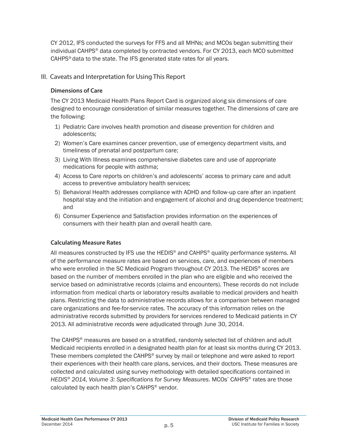CY 2012, IFS conducted the surveys for FFS and all MHNs; and MCOs began submitting their individual CAHPS® data completed by contracted vendors. For CY 2013, each MCO submitted CAHPS<sup>®</sup> data to the state. The IFS generated state rates for all years.

#### III. Caveats and Interpretation for Using This Report

#### **Dimensions of Care**

The CY 2013 Medicaid Health Plans Report Card is organized along six dimensions of care designed to encourage consideration of similar measures together. The dimensions of care are the following:

- 1) Pediatric Care involves health promotion and disease prevention for children and adolescents;
- 2) Women's Care examines cancer prevention, use of emergency department visits, and timeliness of prenatal and postpartum care;
- 3) Living With Illness examines comprehensive diabetes care and use of appropriate medications for people with asthma;
- 4) Access to Care reports on children's and adolescents' access to primary care and adult access to preventive ambulatory health services;
- 5) Behavioral Health addresses compliance with ADHD and follow-up care after an inpatient hospital stay and the initiation and engagement of alcohol and drug dependence treatment; and
- 6) Consumer Experience and Satisfaction provides information on the experiences of consumers with their health plan and overall health care.

#### **Calculating Measure Rates**

All measures constructed by IFS use the HEDIS<sup>®</sup> and CAHPS<sup>®</sup> quality performance systems. All of the performance measure rates are based on services, care, and experiences of members who were enrolled in the SC Medicaid Program throughout CY 2013. The HEDIS® scores are based on the number of members enrolled in the plan who are eligible and who received the service based on administrative records (claims and encounters). These records do not include information from medical charts or laboratory results available to medical providers and health plans. Restricting the data to administrative records allows for a comparison between managed care organizations and fee-for-service rates. The accuracy of this information relies on the administrative records submitted by providers for services rendered to Medicaid patients in CY 2013. All administrative records were adjudicated through June 30, 2014.

The CAHPS<sup>®</sup> measures are based on a stratified, randomly selected list of children and adult Medicaid recipients enrolled in a designated health plan for at least six months during CY 2013. These members completed the CAHPS® survey by mail or telephone and were asked to report their experiences with their health care plans, services, and their doctors. These measures are collected and calculated using survey methodology with detailed specifications contained in HEDIS<sup>®</sup> 2014, Volume 3: Specifications for Survey Measures. MCOs' CAHPS<sup>®</sup> rates are those calculated by each health plan's CAHPS® vendor.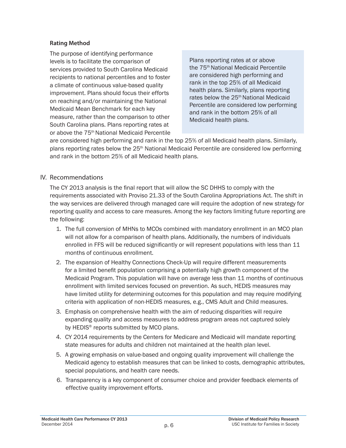#### **Rating Method**

The purpose of identifying performance levels is to facilitate the comparison of services provided to South Carolina Medicaid recipients to national percentiles and to foster a climate of continuous value-based quality improvement. Plans should focus their efforts on reaching and/or maintaining the National Medicaid Mean Benchmark for each key measure, rather than the comparison to other South Carolina plans. Plans reporting rates at or above the 75th National Medicaid Percentile

Plans reporting rates at or above the 75<sup>th</sup> National Medicaid Percentile are considered high performing and rank in the top 25% of all Medicaid health plans. Similarly, plans reporting rates below the 25<sup>th</sup> National Medicaid Percentile are considered low performing and rank in the bottom 25% of all Medicaid health plans.

are considered high performing and rank in the top 25% of all Medicaid health plans. Similarly, plans reporting rates below the  $25<sup>th</sup>$  National Medicaid Percentile are considered low performing and rank in the bottom 25% of all Medicaid health plans.

#### IV. Recommendations

The CY 2013 analysis is the final report that will allow the SC DHHS to comply with the requirements associated with Proviso 21.33 of the South Carolina Appropriations Act. The shift in the way services are delivered through managed care will require the adoption of new strategy for reporting quality and access to care measures. Among the key factors limiting future reporting are the following:

- 1. The full conversion of MHNs to MCOs combined with mandatory enrollment in an MCO plan will not allow for a comparison of health plans. Additionally, the numbers of individuals enrolled in FFS will be reduced significantly or will represent populations with less than 11 months of continuous enrollment.
- 2. The expansion of Healthy Connections Check-Up will require different measurements for a limited benefit population comprising a potentially high growth component of the Medicaid Program. This population will have on average less than 11 months of continuous enrollment with limited services focused on prevention. As such, HEDIS measures may have limited utility for determining outcomes for this population and may require modifying criteria with application of non-HEDIS measures, e.g., CMS Adult and Child measures.
- 3. Emphasis on comprehensive health with the aim of reducing disparities will require expanding quality and access measures to address program areas not captured solely by HEDIS<sup>®</sup> reports submitted by MCO plans.
- 4. CY 2014 requirements by the Centers for Medicare and Medicaid will mandate reporting state measures for adults and children not maintained at the health plan level.
- 5. A growing emphasis on value-based and ongoing quality improvement will challenge the Medicaid agency to establish measures that can be linked to costs, demographic attributes, special populations, and health care needs.
- 6. Transparency is a key component of consumer choice and provider feedback elements of effective quality improvement efforts.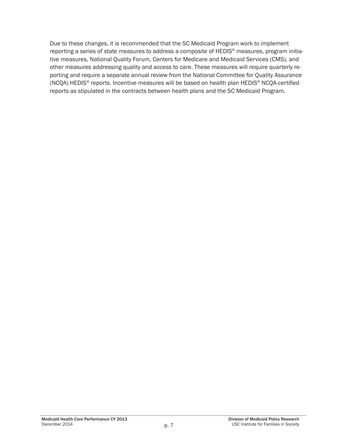Due to these changes, it is recommended that the SC Medicaid Program work to implement reporting a series of state measures to address a composite of HEDIS® measures, program initiative measures, National Quality Forum, Centers for Medicare and Medicaid Services (CMS), and other measures addressing quality and access to care. These measures will require quarterly reporting and require a separate annual review from the National Committee for Quality Assurance (NCQA) HEDIS<sup>®</sup> reports. Incentive measures will be based on health plan HEDIS<sup>®</sup> NCQA-certified reports as stipulated in the contracts between health plans and the SC Medicaid Program.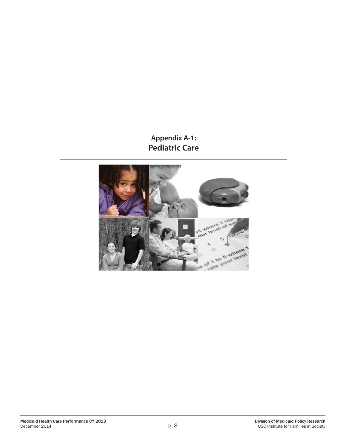### **Appendix A-1: Pediatric Care**

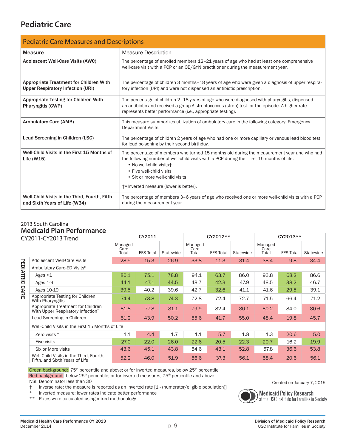### **Pediatric Care**

| <b>Pediatric Care Measures and Descriptions</b>                                            |                                                                                                                                                                                                                                                                                                                             |  |  |  |  |  |  |
|--------------------------------------------------------------------------------------------|-----------------------------------------------------------------------------------------------------------------------------------------------------------------------------------------------------------------------------------------------------------------------------------------------------------------------------|--|--|--|--|--|--|
| <b>Measure</b>                                                                             | <b>Measure Description</b>                                                                                                                                                                                                                                                                                                  |  |  |  |  |  |  |
| <b>Adolescent Well-Care Visits (AWC)</b>                                                   | The percentage of enrolled members $12-21$ years of age who had at least one comprehensive<br>well-care visit with a PCP or an OB/GYN practitioner during the measurement year.                                                                                                                                             |  |  |  |  |  |  |
| <b>Appropriate Treatment for Children With</b><br><b>Upper Respiratory Infection (URI)</b> | The percentage of children 3 months-18 years of age who were given a diagnosis of upper respira-<br>tory infection (URI) and were not dispensed an antibiotic prescription.                                                                                                                                                 |  |  |  |  |  |  |
| <b>Appropriate Testing for Children With</b><br>Pharyngitis (CWP)                          | The percentage of children 2-18 years of age who were diagnosed with pharyngitis, dispensed<br>an antibiotic and received a group A streptococcus (strep) test for the episode. A higher rate<br>represents better performance (i.e., appropriate testing).                                                                 |  |  |  |  |  |  |
| <b>Ambulatory Care (AMB)</b>                                                               | This measure summarizes utilization of ambulatory care in the following category: Emergency<br>Department Visits.                                                                                                                                                                                                           |  |  |  |  |  |  |
| Lead Screening in Children (LSC)                                                           | The percentage of children 2 years of age who had one or more capillary or venous lead blood test<br>for lead poisoning by their second birthday.                                                                                                                                                                           |  |  |  |  |  |  |
| Well-Child Visits in the First 15 Months of<br>Life $(W15)$                                | The percentage of members who turned 15 months old during the measurement year and who had<br>the following number of well-child visits with a PCP during their first 15 months of life:<br>• No well-child visits+<br>• Five well-child visits<br>• Six or more well-child visits<br>+=Inverted measure (lower is better). |  |  |  |  |  |  |
| Well-Child Visits in the Third, Fourth, Fifth<br>and Sixth Years of Life (W34)             | The percentage of members 3-6 years of age who received one or more well-child visits with a PCP<br>during the measurement year.                                                                                                                                                                                            |  |  |  |  |  |  |

#### 2013 South Carolina **Medicaid Plan Performance**

| CY2011-CY2013 Trend |                                                                                     | CY2011                   |                  |           |                          | CY2012**         |           | CY2013**                 |                  |           |
|---------------------|-------------------------------------------------------------------------------------|--------------------------|------------------|-----------|--------------------------|------------------|-----------|--------------------------|------------------|-----------|
|                     |                                                                                     | Managed<br>Care<br>Total | <b>FFS Total</b> | Statewide | Managed<br>Care<br>Total | <b>FFS Total</b> | Statewide | Managed<br>Care<br>Total | <b>FFS Total</b> | Statewide |
|                     | Adolescent Well-Care Visits                                                         | 28.5                     | 15.3             | 26.9      | 33.8                     | 11.3             | 31.4      | 38.4                     | 9.8              | 34.4      |
| PEDIATRIC           | Ambulatory Care-ED Visits*                                                          |                          |                  |           |                          |                  |           |                          |                  |           |
|                     | Ages $<$ 1                                                                          | 80.1                     | 75.1             | 78.8      | 94.1                     | 63.7             | 86.0      | 93.8                     | 68.2             | 86.6      |
|                     | Ages 1-9                                                                            | 44.1                     | 47.1             | 44.5      | 48.7                     | 42.3             | 47.9      | 48.5                     | 38.2             | 46.7      |
| CARE                | Ages 10-19                                                                          | 39.5                     | 40.2             | 39.6      | 42.7                     | 32.6             | 41.1      | 41.6                     | 29.5             | 39.1      |
|                     | Appropriate Testing for Children<br>With Pharyngitis                                | 74.4                     | 73.8             | 74.3      | 72.8                     | 72.4             | 72.7      | 71.5                     | 66.4             | 71.2      |
|                     | Appropriate Treatment for Children<br>With Upper Respiratory Infection <sup>+</sup> | 81.8                     | 77.8             | 81.1      | 79.9                     | 82.4             | 80.1      | 80.2                     | 84.0             | 80.6      |
|                     | Lead Screening in Children                                                          | 51.2                     | 43.9             | 50.2      | 55.6                     | 41.7             | 55.0      | 48.4                     | 19.8             | 45.7      |
|                     | Well-Child Visits in the First 15 Months of Life                                    |                          |                  |           |                          |                  |           |                          |                  |           |
|                     | Zero visits *                                                                       | 1.1                      | 4.4              | 1.7       | 1.1                      | 5.7              | 1.8       | 1.3                      | 20.6             | 5.0       |
|                     | Five visits                                                                         | 27.0                     | 22.0             | 26.0      | 22.6                     | 20.5             | 22.3      | 20.7                     | 16.2             | 19.9      |
|                     | Six or More visits                                                                  | 43.6                     | 45.1             | 43.8      | 54.6                     | 43.1             | 52.8      | 57.8                     | 36.6             | 53.8      |
|                     | Well-Child Visits in the Third, Fourth,<br>Fifth, and Sixth Years of Life           | 52.2                     | 46.0             | 51.9      | 56.6                     | 37.3             | 56.1      | 58.4                     | 20.6             | 56.1      |

Green background: 75<sup>th</sup> percentile and above; or for inverted measures, below 25<sup>th</sup> percentile Red background: below 25<sup>th</sup> percentile; or for inverted measures, 75<sup>th</sup> percentile and above NSI: Denominator less than 30

- † Inverse rate: the measure is reported as an inverted rate [1 (numerator/eligible population)]
- Inverted measure: lower rates indicate better performance
- \*\* Rates were calculated using mixed methodology



Created on January 7, 2015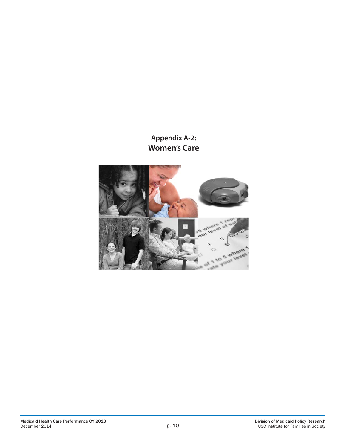### **Appendix A-2: Women's Care**

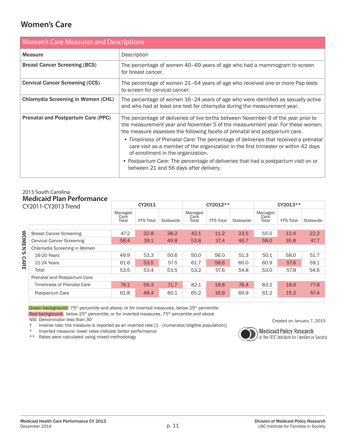### **Women's Care**

|                                        | <b>Women's Care Measures and Descriptions</b>                                                                                                                                                                                                                                                                                                                                                                                                                                                                                                                                                          |  |  |  |  |  |  |
|----------------------------------------|--------------------------------------------------------------------------------------------------------------------------------------------------------------------------------------------------------------------------------------------------------------------------------------------------------------------------------------------------------------------------------------------------------------------------------------------------------------------------------------------------------------------------------------------------------------------------------------------------------|--|--|--|--|--|--|
| <b>Measure</b>                         | Description                                                                                                                                                                                                                                                                                                                                                                                                                                                                                                                                                                                            |  |  |  |  |  |  |
| <b>Breast Cancer Screening (BCS)</b>   | The percentage of women 40–69 years of age who had a mammogram to screen<br>for breast cancer.                                                                                                                                                                                                                                                                                                                                                                                                                                                                                                         |  |  |  |  |  |  |
| <b>Cervical Cancer Screening (CCS)</b> | The percentage of women 21–64 years of age who received one or more Pap tests<br>to screen for cervical cancer.                                                                                                                                                                                                                                                                                                                                                                                                                                                                                        |  |  |  |  |  |  |
| Chlamydia Screening in Women (CHL)     | The percentage of women $16 - 24$ years of age who were identified as sexually active<br>and who had at least one test for chlamydia during the measurement year.                                                                                                                                                                                                                                                                                                                                                                                                                                      |  |  |  |  |  |  |
| Prenatal and Postpartum Care (PPC)     | The percentage of deliveries of live births between November 6 of the year prior to<br>the measurement year and November 5 of the measurement year. For these women,<br>the measure assesses the following facets of prenatal and postpartum care.<br>• Timeliness of Prenatal Care: The percentage of deliveries that received a prenatal<br>care visit as a member of the organization in the first trimester or within 42 days<br>of enrollment in the organization.<br>• Postpartum Care: The percentage of deliveries that had a postpartum visit on or<br>between 21 and 56 days after delivery. |  |  |  |  |  |  |

#### 2013 South Carolina **Medicaid Plan Performance**

| CY2011-CY2013 Trend |                                    | CY2011                   |                  |           |                          | CY2012**         |           | CY2013**                 |                  |           |
|---------------------|------------------------------------|--------------------------|------------------|-----------|--------------------------|------------------|-----------|--------------------------|------------------|-----------|
|                     |                                    | Managed<br>Care<br>Total | <b>FFS Total</b> | Statewide | Managed<br>Care<br>Total | <b>FFS Total</b> | Statewide | Managed<br>Care<br>Total | <b>FFS Total</b> | Statewide |
|                     | <b>Breast Cancer Screening</b>     | 47.2                     | 32.8             | 38.2      | 42.1                     | 11.2             | 23.5      | 55.5                     | 12.4             | 22.2      |
|                     |                                    |                          |                  |           |                          |                  |           |                          |                  |           |
| MOM                 | <b>Cervical Cancer Screening</b>   | 58.4                     | 39.1             | 49.8      | 53.8                     | 37.4             | 46.7      | 58.0                     | 35.8             | 47.7      |
| EN'S                | Chlamydia Screening in Women       |                          |                  |           |                          |                  |           |                          |                  |           |
|                     | 16-20 Years                        | 49.9                     | 53.3             | 50.6      | 50.0                     | 56.0             | 51.3      | 50.1                     | 58.0             | 51.7      |
| <b>CARE</b>         | 21-24 Years                        | 61.6                     | 53.5             | 57.5      | 61.7                     | 58.6             | 60.0      | 60.9                     | 57.6             | 59.1      |
|                     | Total                              | 53.5                     | 53.4             | 53.5      | 53.2                     | 57.6             | 54.8      | 53.0                     | 57.8             | 54.6      |
|                     | Prenatal and Postpartum Care       |                          |                  |           |                          |                  |           |                          |                  |           |
|                     | <b>Timeliness of Prenatal Care</b> | 74.1                     | 56.3             | 71.7      | 82.1                     | 19.8             | 76.4      | 83.2                     | 18.6             | 77.8      |
|                     | Postpartum Care                    | 61.8                     | 48.4             | 60.1      | 65.2                     | 16.9             | 60.9      | 61.2                     | 15.2             | 57.4      |

Green background: 75<sup>th</sup> percentile and above; or for inverted measures, below 25<sup>th</sup> percentile Red background: below 25<sup>th</sup> percentile; or for inverted measures, 75<sup>th</sup> percentile and above

NSI: Denominator less than 30

† Inverse rate: the measure is reported as an inverted rate [1 - (numerator/eligible population)]

Inverted measure: lower rates indicate better performance

\*\* Rates were calculated using mixed methodology



Created on January 7, 2015

**Medicaid Policy Research**<br>at the USC Institute for Families in Society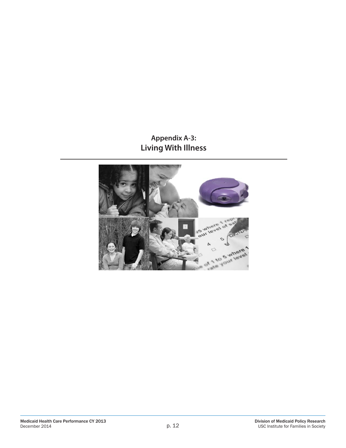### **Appendix A-3: Living With Illness**

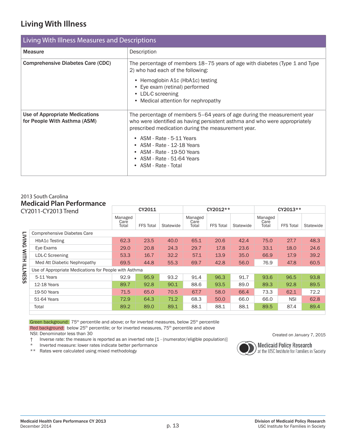### **Living With Illness**

| <b>Living With Illness Measures and Descriptions</b>           |                                                                                                                                                                                                                                                                                                                                                                |  |  |  |  |  |  |
|----------------------------------------------------------------|----------------------------------------------------------------------------------------------------------------------------------------------------------------------------------------------------------------------------------------------------------------------------------------------------------------------------------------------------------------|--|--|--|--|--|--|
| <b>Measure</b>                                                 | Description                                                                                                                                                                                                                                                                                                                                                    |  |  |  |  |  |  |
| <b>Comprehensive Diabetes Care (CDC)</b>                       | The percentage of members 18–75 years of age with diabetes (Type 1 and Type<br>2) who had each of the following:<br>• Hemoglobin A1c (HbA1c) testing<br>• Eye exam (retinal) performed<br>• LDL-C screening<br>• Medical attention for nephropathy                                                                                                             |  |  |  |  |  |  |
| Use of Appropriate Medications<br>for People With Asthma (ASM) | The percentage of members 5-64 years of age during the measurement year<br>who were identified as having persistent asthma and who were appropriately<br>prescribed medication during the measurement year.<br>• ASM - Rate - 5-11 Years<br>• $ASM - Rate - 12-18$ Years<br>• ASM - Rate - 19-50 Years<br>• $ASM - Rate - 51-64$ Years<br>• ASM - Rate - Total |  |  |  |  |  |  |

#### 2013 South Carolina **Medicaid Plan Performance**

| CY2011-CY2013 Trend |                                                       | CY2011                   |                  |           |                          | CY2012**         |           | CY2013**                 |                  |           |
|---------------------|-------------------------------------------------------|--------------------------|------------------|-----------|--------------------------|------------------|-----------|--------------------------|------------------|-----------|
|                     |                                                       | Managed<br>Care<br>Total | <b>FFS Total</b> | Statewide | Managed<br>Care<br>Total | <b>FFS Total</b> | Statewide | Managed<br>Care<br>Total | <b>FFS Total</b> | Statewide |
|                     | <b>Comprehensive Diabetes Care</b>                    |                          |                  |           |                          |                  |           |                          |                  |           |
| <b>LIVING</b>       | <b>HbA1c Testing</b>                                  | 62.3                     | 23.5             | 40.0      | 65.1                     | 20.6             | 42.4      | 75.0                     | 27.7             | 48.3      |
|                     | Eye Exams                                             | 29.0                     | 20.8             | 24.3      | 29.7                     | 17.8             | 23.6      | 33.1                     | 18.0             | 24.6      |
| WITH ILLNESS        | LDL-C Screening                                       | 53.3                     | 16.7             | 32.2      | 57.1                     | 13.9             | 35.0      | 66.9                     | 17.9             | 39.2      |
|                     | Med Att Diabetic Nephropathy                          | 69.5                     | 44.8             | 55.3      | 69.7                     | 42.8             | 56.0      | 76.9                     | 47.8             | 60.5      |
|                     | Use of Appropriate Medications for People with Asthma |                          |                  |           |                          |                  |           |                          |                  |           |
|                     | 5-11 Years                                            | 92.9                     | 95.9             | 93.2      | 91.4                     | 96.3             | 91.7      | 93.6                     | 96.5             | 93.8      |
|                     | 12-18 Years                                           | 89.7                     | 92.8             | 90.1      | 88.6                     | 93.5             | 89.0      | 89.3                     | 92.8             | 89.5      |
|                     | 19-50 Years                                           | 71.5                     | 65.0             | 70.5      | 67.7                     | 58.0             | 66.4      | 73.3                     | 62.1             | 72.2      |
|                     | 51-64 Years                                           | 72.9                     | 64.3             | 71.2      | 68.3                     | 50.0             | 66.0      | 66.0                     | <b>NSI</b>       | 62.8      |
|                     | Total                                                 | 89.2                     | 89.0             | 89.1      | 88.1                     | 88.1             | 88.1      | 89.5                     | 87.4             | 89.4      |

Green background: 75<sup>th</sup> percentile and above; or for inverted measures, below 25<sup>th</sup> percentile Red background: below 25<sup>th</sup> percentile; or for inverted measures, 75<sup>th</sup> percentile and above NSI: Denominator less than 30

† Inverse rate: the measure is reported as an inverted rate [1 - (numerator/eligible population)]

Inverted measure: lower rates indicate better performance

\*\* Rates were calculated using mixed methodology



Created on January 7, 2015

**Medicaid Policy Research** at the USC Institute for Families in Society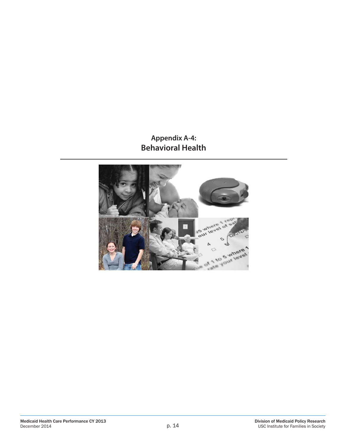### **Appendix A-4: Behavioral Health**

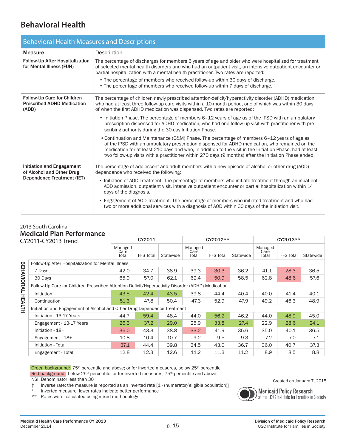### **Behavioral Health**

| <b>Behavioral Health Measures and Descriptions</b>                        |                                                                                                                                                                                                                                                                                                                                                                                                                                                                               |  |  |  |  |  |  |
|---------------------------------------------------------------------------|-------------------------------------------------------------------------------------------------------------------------------------------------------------------------------------------------------------------------------------------------------------------------------------------------------------------------------------------------------------------------------------------------------------------------------------------------------------------------------|--|--|--|--|--|--|
| <b>Measure</b>                                                            | Description                                                                                                                                                                                                                                                                                                                                                                                                                                                                   |  |  |  |  |  |  |
| Follow-Up After Hospitalization<br>for Mental Illness (FUH)               | The percentage of discharges for members 6 years of age and older who were hospitalized for treatment<br>of selected mental health disorders and who had an outpatient visit, an intensive outpatient encounter or<br>partial hospitalization with a mental health practitioner. Two rates are reported:<br>• The percentage of members who received follow-up within 30 days of discharge.<br>• The percentage of members who received follow-up within 7 days of discharge. |  |  |  |  |  |  |
| Follow-Up Care for Children<br><b>Prescribed ADHD Medication</b><br>(ADD) | The percentage of children newly prescribed attention-deficit/hyperactivity disorder (ADHD) medication<br>who had at least three follow-up care visits within a 10-month period, one of which was within 30 days<br>of when the first ADHD medication was dispensed. Two rates are reported:                                                                                                                                                                                  |  |  |  |  |  |  |
|                                                                           | • Initiation Phase. The percentage of members 6-12 years of age as of the IPSD with an ambulatory<br>prescription dispensed for ADHD medication, who had one follow-up visit with practitioner with pre-<br>scribing authority during the 30-day Initiation Phase.                                                                                                                                                                                                            |  |  |  |  |  |  |
|                                                                           | • Continuation and Maintenance (C&M) Phase. The percentage of members 6-12 years of age as<br>of the IPSD with an ambulatory prescription dispensed for ADHD medication, who remained on the<br>medication for at least 210 days and who, in addition to the visit in the Initiation Phase, had at least<br>two follow-up visits with a practitioner within 270 days (9 months) after the Initiation Phase ended.                                                             |  |  |  |  |  |  |
| <b>Initiation and Engagement</b><br>of Alcohol and Other Drug             | The percentage of adolescent and adult members with a new episode of alcohol or other drug (AOD)<br>dependence who received the following:                                                                                                                                                                                                                                                                                                                                    |  |  |  |  |  |  |
| Dependence Treatment (IET)                                                | • Initiation of AOD Treatment. The percentage of members who initiate treatment through an inpatient<br>AOD admission, outpatient visit, intensive outpatient encounter or partial hospitalization within 14<br>days of the diagnosis.                                                                                                                                                                                                                                        |  |  |  |  |  |  |
|                                                                           | • Engagement of AOD Treatment. The percentage of members who initiated treatment and who had<br>two or more additional services with a diagnosis of AOD within 30 days of the initiation visit.                                                                                                                                                                                                                                                                               |  |  |  |  |  |  |

#### 2013 South Carolina **Medicaid Plan Performance**

| CY2011-CY2013 Trend |                                                                                                   | CY2011                   |                  |           |                          | CY2012**         |           |                          | CY2013**         |           |  |
|---------------------|---------------------------------------------------------------------------------------------------|--------------------------|------------------|-----------|--------------------------|------------------|-----------|--------------------------|------------------|-----------|--|
|                     |                                                                                                   | Managed<br>Care<br>Total | <b>FFS Total</b> | Statewide | Managed<br>Care<br>Total | <b>FFS Total</b> | Statewide | Managed<br>Care<br>Total | <b>FFS Total</b> | Statewide |  |
|                     | Follow-Up After Hospitalization for Mental Illness                                                |                          |                  |           |                          |                  |           |                          |                  |           |  |
|                     | 7 Days                                                                                            | 42.0                     | 34.7             | 38.9      | 39.3                     | 30.3             | 36.2      | 41.1                     | 28.3             | 36.5      |  |
|                     | 30 Days                                                                                           | 65.9                     | 57.0             | 62.1      | 62.4                     | 50.9             | 58.5      | 62.8                     | 48.6             | 57.6      |  |
| <b>BEHAVIORAL</b>   | Follow-Up Care for Children Prescribed Attention-Deficit/Hyperactivity Disorder (ADHD) Medication |                          |                  |           |                          |                  |           |                          |                  |           |  |
|                     | Initiation                                                                                        | 43.5                     | 42.4             | 43.5      | 39.8                     | 44.4             | 40.4      | 40.0                     | 41.4             | 40.1      |  |
|                     | Continuation                                                                                      | 51.3                     | 47.8             | 50.4      | 47.3                     | 52.9             | 47.9      | 49.2                     | 46.3             | 48.9      |  |
| <b>HEALTH</b>       | Initiation and Engagement of Alcohol and Other Drug Dependence Treatment                          |                          |                  |           |                          |                  |           |                          |                  |           |  |
|                     | Initiation - 13-17 Years                                                                          | 44.7                     | 59.4             | 48.4      | 44.0                     | 56.2             | 46.2      | 44.0                     | 48.9             | 45.0      |  |
|                     | Engagement - 13-17 Years                                                                          | 26.3                     | 37.2             | 29.0      | 25.9                     | 33.8             | 27.4      | 22.9                     | 28.6             | 24.1      |  |
|                     | Initiation - 18+                                                                                  | 36.0                     | 43.3             | 38.8      | 33.2                     | 41.9             | 35.6      | 35.0                     | 40.1             | 36.5      |  |
|                     | Engagement - 18+                                                                                  | 10.8                     | 10.4             | 10.7      | 9.2                      | 9.5              | 9.3       | 7.2                      | 7.0              | 7.1       |  |
|                     | Initiation - Total                                                                                | 37.1                     | 44.4             | 39.8      | 34.5                     | 43.0             | 36.7      | 36.0                     | 40.7             | 37.3      |  |
|                     | Engagement - Total                                                                                | 12.8                     | 12.3             | 12.6      | 11.2                     | 11.3             | 11.2      | 8.9                      | 8.5              | 8.8       |  |

Green background: 75<sup>th</sup> percentile and above; or for inverted measures, below 25<sup>th</sup> percentile Red background: below 25<sup>th</sup> percentile; or for inverted measures, 75<sup>th</sup> percentile and above NSI: Denominator less than 30

† Inverse rate: the measure is reported as an inverted rate [1 - (numerator/eligible population)]

Inverted measure: lower rates indicate better performance

\*\* Rates were calculated using mixed methodology



**Medicaid Policy Research**<br>at the USC Institute for Families in Society

Created on January 7, 2015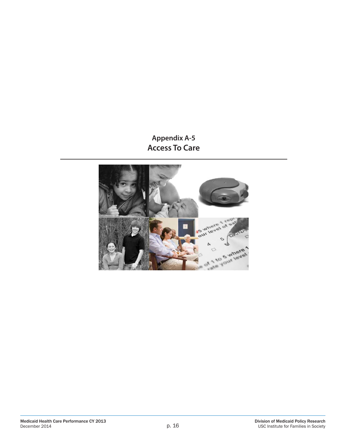**Appendix A-5 Access To Care**

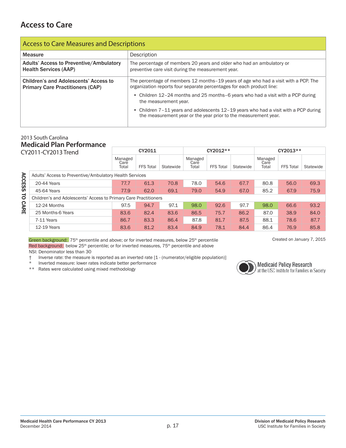### **Access to Care**

| <b>Access to Care Measures and Descriptions</b>                                         |                                                                                                                                                              |  |  |  |  |  |  |
|-----------------------------------------------------------------------------------------|--------------------------------------------------------------------------------------------------------------------------------------------------------------|--|--|--|--|--|--|
| Measure                                                                                 | Description                                                                                                                                                  |  |  |  |  |  |  |
| <b>Adults' Access to Preventive/Ambulatory</b><br><b>Health Services (AAP)</b>          | The percentage of members 20 years and older who had an ambulatory or<br>preventive care visit during the measurement year.                                  |  |  |  |  |  |  |
| <b>Children's and Adolescents' Access to</b><br><b>Primary Care Practitioners (CAP)</b> | The percentage of members 12 months-19 years of age who had a visit with a PCP. The<br>organization reports four separate percentages for each product line: |  |  |  |  |  |  |
|                                                                                         | • Children 12-24 months and 25 months-6 years who had a visit with a PCP during<br>the measurement year.                                                     |  |  |  |  |  |  |
|                                                                                         | • Children 7-11 years and adolescents 12-19 years who had a visit with a PCP during<br>the measurement year or the year prior to the measurement year.       |  |  |  |  |  |  |

#### 2013 South Carolina **Medicaid Plan Performance**

| CY2011-CY2013 Trend             |                                                                  | CY2011                   |                  | CY2012**  |                          |                  | CY2013**  |                          |                  |           |
|---------------------------------|------------------------------------------------------------------|--------------------------|------------------|-----------|--------------------------|------------------|-----------|--------------------------|------------------|-----------|
|                                 |                                                                  | Managed<br>Care<br>Total | <b>FFS Total</b> | Statewide | Managed<br>Care<br>Total | <b>FFS Total</b> | Statewide | Managed<br>Care<br>Total | <b>FFS Total</b> | Statewide |
| <b>ACCESS</b><br>$\overline{c}$ | Adults' Access to Preventive/Ambulatory Health Services          |                          |                  |           |                          |                  |           |                          |                  |           |
|                                 | 20-44 Years                                                      | 77.7                     | 61.3             | 70.8      | 78.0                     | 54.6             | 67.7      | 80.8                     | 56.0             | 69.3      |
|                                 | 45-64 Years                                                      | 77.9                     | 62.0             | 69.1      | 79.0                     | 54.9             | 67.0      | 85.2                     | 67.9             | 75.9      |
|                                 | Children's and Adolescents' Access to Primary Care Practitioners |                          |                  |           |                          |                  |           |                          |                  |           |
| CARE                            | 12-24 Months                                                     | 97.5                     | 94.7             | 97.1      | 98.0                     | 92.6             | 97.7      | 98.0                     | 66.6             | 93.2      |
|                                 | 25 Months-6 Years                                                | 83.6                     | 82.4             | 83.6      | 86.5                     | 75.7             | 86.2      | 87.0                     | 38.9             | 84.0      |
|                                 | 7-11 Years                                                       | 86.7                     | 83.3             | 86.4      | 87.8                     | 81.7             | 87.5      | 88.1                     | 78.6             | 87.7      |
|                                 | 12-19 Years                                                      | 83.6                     | 81.2             | 83.4      | 84.9                     | 78.1             | 84.4      | 86.4                     | 76.9             | 85.8      |

Green background: 75<sup>th</sup> percentile and above; or for inverted measures, below 25<sup>th</sup> percentile Created on January 7, 2015 Red background: below 25<sup>th</sup> percentile; or for inverted measures, 75<sup>th</sup> percentile and above NSI: Denominator less than 30

† Inverse rate: the measure is reported as an inverted rate [1 - (numerator/eligible population)]

Inverted measure: lower rates indicate better performance

\*\* Rates were calculated using mixed methodology



**Medicaid Policy Research**<br>at the USC Institute for Families in Society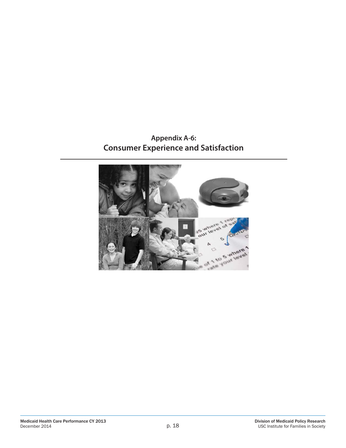### **Appendix A-6: Consumer Experience and Satisfaction**

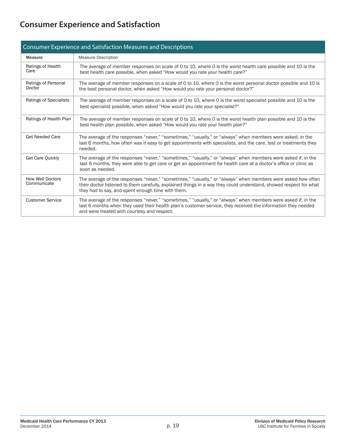# **Consumer Experience and Satisfaction**

| Consumer Experience and Satisfaction Measures and Descriptions |                                                                                                                                                                                                                                                                                       |  |  |  |
|----------------------------------------------------------------|---------------------------------------------------------------------------------------------------------------------------------------------------------------------------------------------------------------------------------------------------------------------------------------|--|--|--|
| <b>Measure</b>                                                 | <b>Measure Description</b>                                                                                                                                                                                                                                                            |  |  |  |
| Ratings of Health<br>Care                                      | The average of member responses on scale of 0 to 10, where 0 is the worst health care possible and 10 is the<br>best health care possible, when asked "How would you rate your health care?"                                                                                          |  |  |  |
| Ratings of Personal<br>Doctor                                  | The average of member responses on a scale of 0 to 10, where 0 is the worst personal doctor possible and 10 is<br>the best personal doctor, when asked "How would you rate your personal doctor?"                                                                                     |  |  |  |
| <b>Ratings of Specialists</b>                                  | The average of member responses on a scale of 0 to 10, where 0 is the worst specialist possible and 10 is the<br>best specialist possible, when asked "How would you rate your specialist?"                                                                                           |  |  |  |
| Ratings of Health Plan                                         | The average of member responses on scale of 0 to 10, where 0 is the worst health plan possible and 10 is the<br>best health plan possible, when asked "How would you rate your health plan?"                                                                                          |  |  |  |
| <b>Get Needed Care</b>                                         | The average of the responses "never," "sometimes," "usually," or "always" when members were asked, in the<br>last 6 months, how often was it easy to get appointments with specialists, and the care, test or treatments they<br>needed.                                              |  |  |  |
| Get Care Quickly                                               | The average of the responses "never," "sometimes," "usually," or "always" when members were asked if, in the<br>last 6 months, they were able to get care or get an appointment for health care at a doctor's office or clinic as<br>soon as needed.                                  |  |  |  |
| <b>How Well Doctors</b><br>Communicate                         | The average of the responses "never," "sometimes," "usually," or "always" when members were asked how often<br>their doctor listened to them carefully, explained things in a way they could understand, showed respect for what<br>they had to say, and spent enough time with them. |  |  |  |
| <b>Customer Service</b>                                        | The average of the responses "never," "sometimes," "usually," or "always" when members were asked if, in the<br>last 6 months when they used their health plan's customer service, they received the information they needed<br>and were treated with courtesy and respect.           |  |  |  |

#### Consumer Experience and Satisfaction Measures and Descriptions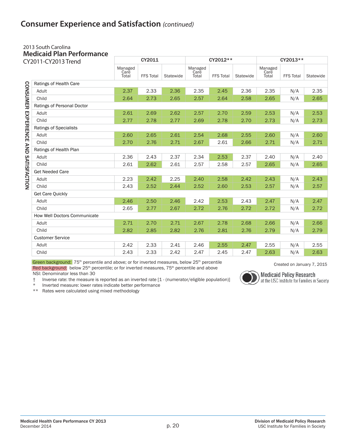### **Consumer Experience and Satisfaction** *(continued)*

#### 2013 South Carolina **Medicaid Plan Performance**

| CY2011-CY2013 Trend         |                               | CY2011                   |                  |           | CY2012**                 |                  |           | CY2013**                 |                  |           |
|-----------------------------|-------------------------------|--------------------------|------------------|-----------|--------------------------|------------------|-----------|--------------------------|------------------|-----------|
|                             |                               | Managed<br>Care<br>Total | <b>FFS Total</b> | Statewide | Managed<br>Care<br>Total | <b>FFS Total</b> | Statewide | Managed<br>Care<br>Total | <b>FFS Total</b> | Statewide |
|                             | Ratings of Health Care        |                          |                  |           |                          |                  |           |                          |                  |           |
|                             | Adult                         | 2.37                     | 2.33             | 2.36      | 2.35                     | 2.45             | 2.36      | 2.35                     | N/A              | 2.35      |
|                             | Child                         | 2.64                     | 2.73             | 2.65      | 2.57                     | 2.64             | 2.58      | 2.65                     | N/A              | 2.65      |
| <b>CONSUMER</b>             | Ratings of Personal Doctor    |                          |                  |           |                          |                  |           |                          |                  |           |
|                             | Adult                         | 2.61                     | 2.69             | 2.62      | 2.57                     | 2.70             | 2.59      | 2.53                     | N/A              | 2.53      |
|                             | Child                         | 2.77                     | 2.78             | 2.77      | 2.69                     | 2.78             | 2.70      | 2.73                     | N/A              | 2.73      |
|                             | <b>Ratings of Specialists</b> |                          |                  |           |                          |                  |           |                          |                  |           |
|                             | Adult                         | 2.60                     | 2.65             | 2.61      | 2.54                     | 2.68             | 2.55      | 2.60                     | N/A              | 2.60      |
| EXPERIENCE AND SATISFACTION | Child                         | 2.70                     | 2.76             | 2.71      | 2.67                     | 2.61             | 2.66      | 2.71                     | N/A              | 2.71      |
|                             | Ratings of Health Plan        |                          |                  |           |                          |                  |           |                          |                  |           |
|                             | Adult                         | 2.36                     | 2.43             | 2.37      | 2.34                     | 2.53             | 2.37      | 2.40                     | N/A              | 2.40      |
|                             | Child                         | 2.61                     | 2.62             | 2.61      | 2.57                     | 2.58             | 2.57      | 2.65                     | N/A              | 2.65      |
|                             | <b>Get Needed Care</b>        |                          |                  |           |                          |                  |           |                          |                  |           |
|                             | Adult                         | 2.23                     | 2.42             | 2.25      | 2.40                     | 2.58             | 2.42      | 2.43                     | N/A              | 2.43      |
|                             | Child                         | 2.43                     | 2.52             | 2.44      | 2.52                     | 2.60             | 2.53      | 2.57                     | N/A              | 2.57      |
|                             | <b>Get Care Quickly</b>       |                          |                  |           |                          |                  |           |                          |                  |           |
|                             | Adult                         | 2.46                     | 2.50             | 2.46      | 2.42                     | 2.53             | 2.43      | 2.47                     | N/A              | 2.47      |
|                             | Child                         | 2.65                     | 2.77             | 2.67      | 2.72                     | 2.76             | 2.72      | 2.72                     | N/A              | 2.72      |
|                             | How Well Doctors Communicate  |                          |                  |           |                          |                  |           |                          |                  |           |
|                             | Adult                         | 2.71                     | 2.70             | 2.71      | 2.67                     | 2.78             | 2.68      | 2.66                     | N/A              | 2.66      |
|                             | Child                         | 2.82                     | 2.85             | 2.82      | 2.76                     | 2.81             | 2.76      | 2.79                     | N/A              | 2.79      |
|                             | <b>Customer Service</b>       |                          |                  |           |                          |                  |           |                          |                  |           |
|                             | Adult                         | 2.42                     | 2.33             | 2.41      | 2.46                     | 2.55             | 2.47      | 2.55                     | N/A              | 2.55      |
|                             | Child                         | 2.43                     | 2.33             | 2.42      | 2.47                     | 2.45             | 2.47      | 2.63                     | N/A              | 2.63      |

Green background:  $75<sup>th</sup>$  percentile and above; or for inverted measures, below  $25<sup>th</sup>$  percentile created on January 7, 2015 Red background: below 25<sup>th</sup> percentile; or for inverted measures, 75<sup>th</sup> percentile and above NSI: Denominator less than 30

† Inverse rate: the measure is reported as an inverted rate [1 - (numerator/eligible population)]

Inverted measure: lower rates indicate better performance \*\* Rates were calculated using mixed methodology



**Medicaid Policy Research**<br>at the USC Institute for Families in Society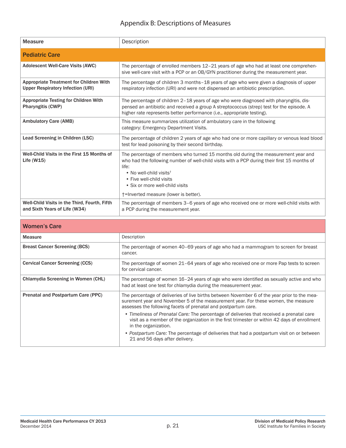### Appendix B: Descriptions of Measures

| <b>Measure</b>                                                                             | Description                                                                                                                                                                                                                                                                                                                                |
|--------------------------------------------------------------------------------------------|--------------------------------------------------------------------------------------------------------------------------------------------------------------------------------------------------------------------------------------------------------------------------------------------------------------------------------------------|
| <b>Pediatric Care</b>                                                                      |                                                                                                                                                                                                                                                                                                                                            |
| <b>Adolescent Well-Care Visits (AWC)</b>                                                   | The percentage of enrolled members 12-21 years of age who had at least one comprehen-<br>sive well-care visit with a PCP or an OB/GYN practitioner during the measurement year.                                                                                                                                                            |
| <b>Appropriate Treatment for Children With</b><br><b>Upper Respiratory Infection (URI)</b> | The percentage of children 3 months-18 years of age who were given a diagnosis of upper<br>respiratory infection (URI) and were not dispensed an antibiotic prescription.                                                                                                                                                                  |
| <b>Appropriate Testing for Children With</b><br>Pharyngitis (CWP)                          | The percentage of children 2-18 years of age who were diagnosed with pharyngitis, dis-<br>pensed an antibiotic and received a group A streptococcus (strep) test for the episode. A<br>higher rate represents better performance (i.e., appropriate testing).                                                                              |
| <b>Ambulatory Care (AMB)</b>                                                               | This measure summarizes utilization of ambulatory care in the following<br>category: Emergency Department Visits.                                                                                                                                                                                                                          |
| Lead Screening in Children (LSC)                                                           | The percentage of children 2 years of age who had one or more capillary or venous lead blood<br>test for lead poisoning by their second birthday.                                                                                                                                                                                          |
| Well-Child Visits in the First 15 Months of<br>Life $(W15)$                                | The percentage of members who turned 15 months old during the measurement year and<br>who had the following number of well-child visits with a PCP during their first 15 months of<br>life:<br>• No well-child visits <sup>†</sup><br>• Five well-child visits<br>• Six or more well-child visits<br>+=Inverted measure (lower is better). |
| Well-Child Visits in the Third, Fourth, Fifth<br>and Sixth Years of Life (W34)             | The percentage of members 3-6 years of age who received one or more well-child visits with<br>a PCP during the measurement year.                                                                                                                                                                                                           |

| <b>Women's Care</b>                       |                                                                                                                                                                                                                                                      |
|-------------------------------------------|------------------------------------------------------------------------------------------------------------------------------------------------------------------------------------------------------------------------------------------------------|
| <b>Measure</b>                            | Description                                                                                                                                                                                                                                          |
| <b>Breast Cancer Screening (BCS)</b>      | The percentage of women 40–69 years of age who had a mammogram to screen for breast<br>cancer.                                                                                                                                                       |
| <b>Cervical Cancer Screening (CCS)</b>    | The percentage of women 21–64 years of age who received one or more Pap tests to screen<br>for cervical cancer.                                                                                                                                      |
| <b>Chlamydia Screening in Women (CHL)</b> | The percentage of women 16-24 years of age who were identified as sexually active and who<br>had at least one test for chlamydia during the measurement year.                                                                                        |
| Prenatal and Postpartum Care (PPC)        | The percentage of deliveries of live births between November 6 of the year prior to the mea-<br>surement year and November 5 of the measurement year. For these women, the measure<br>assesses the following facets of prenatal and postpartum care. |
|                                           | • Timeliness of Prenatal Care: The percentage of deliveries that received a prenatal care<br>visit as a member of the organization in the first trimester or within 42 days of enrollment<br>in the organization.                                    |
|                                           | • Postpartum Care: The percentage of deliveries that had a postpartum visit on or between<br>21 and 56 days after delivery.                                                                                                                          |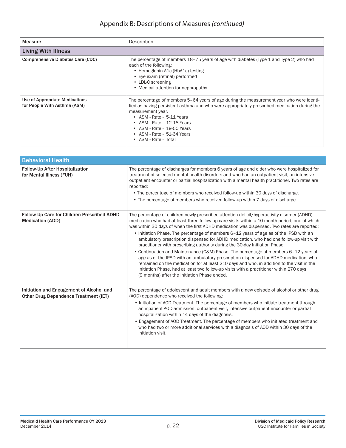#### Appendix B: Descriptions of Measures *(continued)*

| <b>Measure</b>                                                 | Description                                                                                                                                                                                                                                                                                                                                                    |  |  |  |
|----------------------------------------------------------------|----------------------------------------------------------------------------------------------------------------------------------------------------------------------------------------------------------------------------------------------------------------------------------------------------------------------------------------------------------------|--|--|--|
| <b>Living With Illness</b>                                     |                                                                                                                                                                                                                                                                                                                                                                |  |  |  |
| Comprehensive Diabetes Care (CDC)                              | The percentage of members 18-75 years of age with diabetes (Type 1 and Type 2) who had<br>each of the following:<br>• Hemoglobin A1c (HbA1c) testing<br>• Eye exam (retinal) performed<br>• LDL-C screening<br>• Medical attention for nephropathy                                                                                                             |  |  |  |
| Use of Appropriate Medications<br>for People With Asthma (ASM) | The percentage of members 5–64 years of age during the measurement year who were identi-<br>fied as having persistent asthma and who were appropriately prescribed medication during the<br>measurement year.<br>• ASM - Rate - 5-11 Years<br>• ASM - Rate - 12-18 Years<br>• ASM - Rate - 19-50 Years<br>• $ASM - Rate - 51-64$ Years<br>• ASM - Rate - Total |  |  |  |

| <b>Behavioral Health</b>                                                                 |                                                                                                                                                                                                                                                                                                                                                                                                                                                                                                                                                                                                                                                                                                                                                                                                                                                                                                                                                                                          |  |  |  |
|------------------------------------------------------------------------------------------|------------------------------------------------------------------------------------------------------------------------------------------------------------------------------------------------------------------------------------------------------------------------------------------------------------------------------------------------------------------------------------------------------------------------------------------------------------------------------------------------------------------------------------------------------------------------------------------------------------------------------------------------------------------------------------------------------------------------------------------------------------------------------------------------------------------------------------------------------------------------------------------------------------------------------------------------------------------------------------------|--|--|--|
| <b>Follow-Up After Hospitalization</b><br>for Mental Illness (FUH)                       | The percentage of discharges for members 6 years of age and older who were hospitalized for<br>treatment of selected mental health disorders and who had an outpatient visit, an intensive<br>outpatient encounter or partial hospitalization with a mental health practitioner. Two rates are<br>reported:<br>• The percentage of members who received follow-up within 30 days of discharge.<br>• The percentage of members who received follow-up within 7 days of discharge.                                                                                                                                                                                                                                                                                                                                                                                                                                                                                                         |  |  |  |
| Follow-Up Care for Children Prescribed ADHD<br><b>Medication (ADD)</b>                   | The percentage of children newly prescribed attention-deficit/hyperactivity disorder (ADHD)<br>medication who had at least three follow-up care visits within a 10-month period, one of which<br>was within 30 days of when the first ADHD medication was dispensed. Two rates are reported:<br>• Initiation Phase. The percentage of members 6-12 years of age as of the IPSD with an<br>ambulatory prescription dispensed for ADHD medication, who had one follow-up visit with<br>practitioner with prescribing authority during the 30-day Initiation Phase.<br>• Continuation and Maintenance (C&M) Phase. The percentage of members 6-12 years of<br>age as of the IPSD with an ambulatory prescription dispensed for ADHD medication, who<br>remained on the medication for at least 210 days and who, in addition to the visit in the<br>Initiation Phase, had at least two follow-up visits with a practitioner within 270 days<br>(9 months) after the Initiation Phase ended. |  |  |  |
| Initiation and Engagement of Alcohol and<br><b>Other Drug Dependence Treatment (IET)</b> | The percentage of adolescent and adult members with a new episode of alcohol or other drug<br>(AOD) dependence who received the following:<br>• Initiation of AOD Treatment. The percentage of members who initiate treatment through<br>an inpatient AOD admission, outpatient visit, intensive outpatient encounter or partial<br>hospitalization within 14 days of the diagnosis.<br>• Engagement of AOD Treatment. The percentage of members who initiated treatment and<br>who had two or more additional services with a diagnosis of AOD within 30 days of the<br>initiation visit.                                                                                                                                                                                                                                                                                                                                                                                               |  |  |  |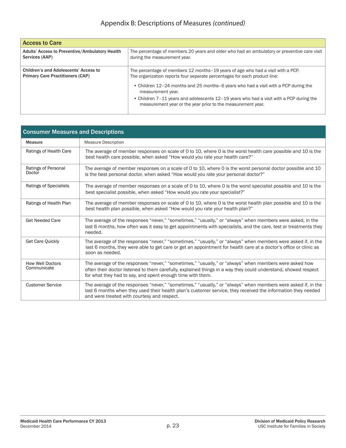| <b>Access to Care</b>                                                            |                                                                                                                                                              |  |  |  |
|----------------------------------------------------------------------------------|--------------------------------------------------------------------------------------------------------------------------------------------------------------|--|--|--|
| Adults' Access to Preventive/Ambulatory Health<br>Services (AAP)                 | The percentage of members 20 years and older who had an ambulatory or preventive care visit<br>during the measurement year.                                  |  |  |  |
| Children's and Adolescents' Access to<br><b>Primary Care Practitioners (CAP)</b> | The percentage of members 12 months–19 years of age who had a visit with a PCP.<br>The organization reports four separate percentages for each product line: |  |  |  |
|                                                                                  | • Children 12–24 months and 25 months–6 years who had a visit with a PCP during the<br>measurement year.                                                     |  |  |  |
|                                                                                  | • Children 7-11 years and adolescents 12-19 years who had a visit with a PCP during the<br>measurement year or the year prior to the measurement year.       |  |  |  |

| <b>Consumer Measures and Descriptions</b> |                                                                                                                                                                                                                                                                                       |  |  |  |
|-------------------------------------------|---------------------------------------------------------------------------------------------------------------------------------------------------------------------------------------------------------------------------------------------------------------------------------------|--|--|--|
| Measure                                   | <b>Measure Description</b>                                                                                                                                                                                                                                                            |  |  |  |
| Ratings of Health Care                    | The average of member responses on scale of 0 to 10, where 0 is the worst health care possible and 10 is the<br>best health care possible, when asked "How would you rate your health care?"                                                                                          |  |  |  |
| Ratings of Personal<br>Doctor             | The average of member responses on a scale of 0 to 10, where 0 is the worst personal doctor possible and 10<br>is the best personal doctor, when asked "How would you rate your personal doctor?"                                                                                     |  |  |  |
| <b>Ratings of Specialists</b>             | The average of member responses on a scale of 0 to 10, where 0 is the worst specialist possible and 10 is the<br>best specialist possible, when asked "How would you rate your specialist?"                                                                                           |  |  |  |
| Ratings of Health Plan                    | The average of member responses on scale of 0 to 10, where 0 is the worst health plan possible and 10 is the<br>best health plan possible, when asked "How would you rate your health plan?"                                                                                          |  |  |  |
| <b>Get Needed Care</b>                    | The average of the responses "never," "sometimes," "usually," or "always" when members were asked, in the<br>last 6 months, how often was it easy to get appointments with specialists, and the care, test or treatments they<br>needed.                                              |  |  |  |
| <b>Get Care Quickly</b>                   | The average of the responses "never," "sometimes," "usually," or "always" when members were asked if, in the<br>last 6 months, they were able to get care or get an appointment for health care at a doctor's office or clinic as<br>soon as needed.                                  |  |  |  |
| <b>How Well Doctors</b><br>Communicate    | The average of the responses "never," "sometimes," "usually," or "always" when members were asked how<br>often their doctor listened to them carefully, explained things in a way they could understand, showed respect<br>for what they had to say, and spent enough time with them. |  |  |  |
| <b>Customer Service</b>                   | The average of the responses "never," "sometimes," "usually," or "always" when members were asked if, in the<br>last 6 months when they used their health plan's customer service, they received the information they needed<br>and were treated with courtesy and respect.           |  |  |  |